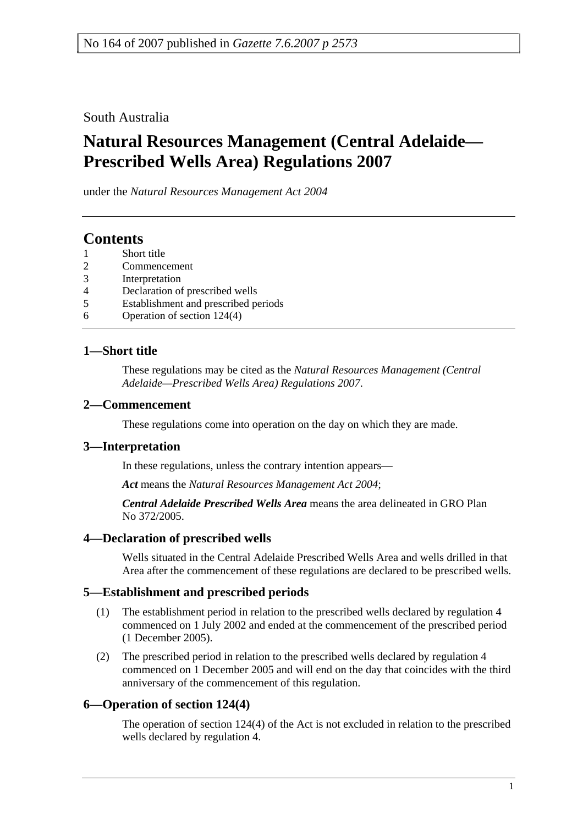South Australia

# **Natural Resources Management (Central Adelaide— Prescribed Wells Area) Regulations 2007**

under the *Natural Resources Management Act 2004*

## **Contents**

- 1 Short title
- 2 Commencement
- 3 Interpretation
- 4 Declaration of prescribed wells
- 5 Establishment and prescribed periods
- 6 Operation of section 124(4)

#### **1—Short title**

These regulations may be cited as the *Natural Resources Management (Central Adelaide—Prescribed Wells Area) Regulations 2007*.

#### **2—Commencement**

These regulations come into operation on the day on which they are made.

#### **3—Interpretation**

In these regulations, unless the contrary intention appears—

*Act* means the *Natural Resources Management Act 2004*;

*Central Adelaide Prescribed Wells Area* means the area delineated in GRO Plan No 372/2005.

#### **4—Declaration of prescribed wells**

Wells situated in the Central Adelaide Prescribed Wells Area and wells drilled in that Area after the commencement of these regulations are declared to be prescribed wells.

#### **5—Establishment and prescribed periods**

- (1) The establishment period in relation to the prescribed wells declared by regulation 4 commenced on 1 July 2002 and ended at the commencement of the prescribed period (1 December 2005).
- (2) The prescribed period in relation to the prescribed wells declared by regulation 4 commenced on 1 December 2005 and will end on the day that coincides with the third anniversary of the commencement of this regulation.

## **6—Operation of section 124(4)**

The operation of section 124(4) of the Act is not excluded in relation to the prescribed wells declared by regulation 4.